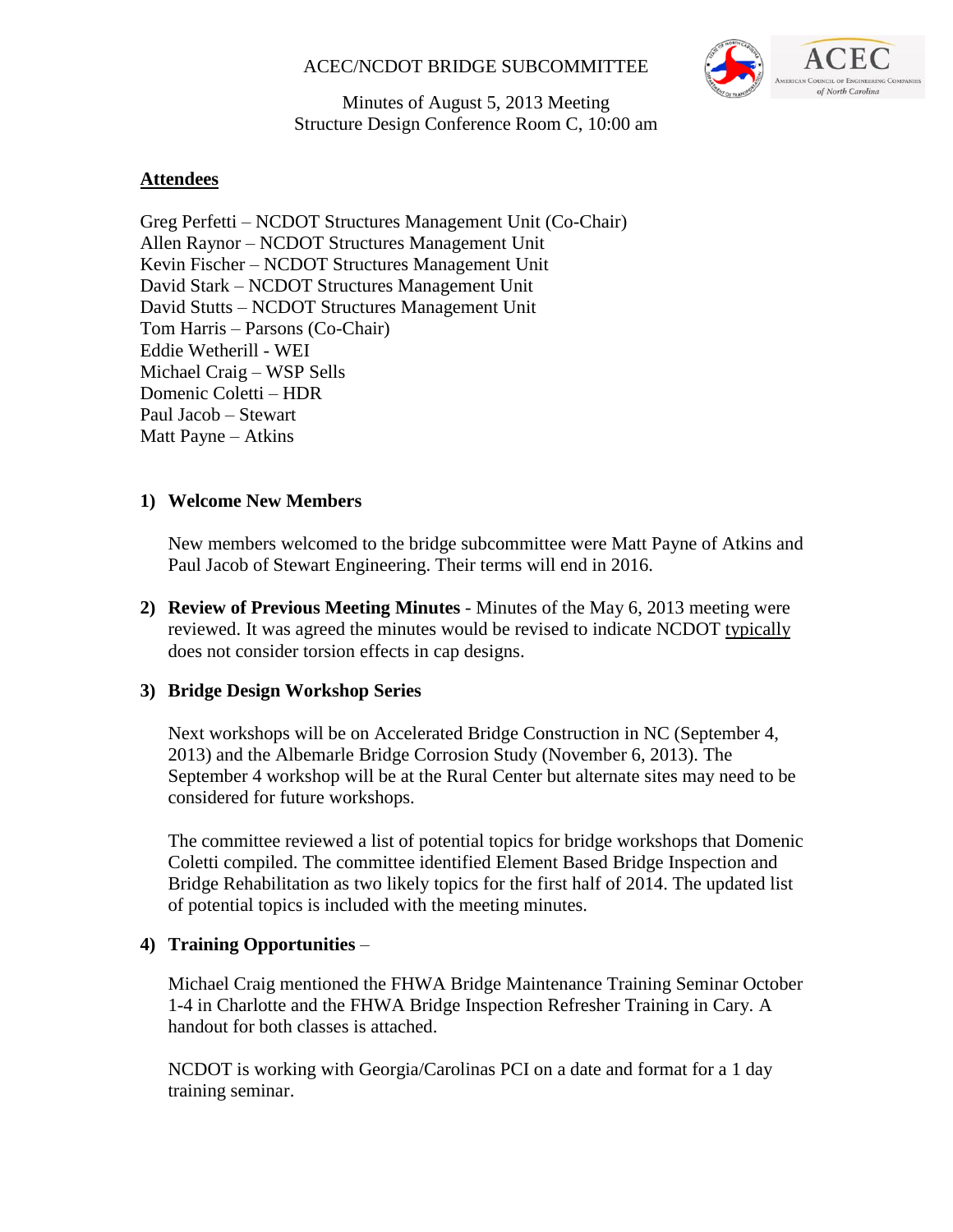## ACEC/NCDOT BRIDGE SUBCOMMITTEE



Minutes of August 5, 2013 Meeting Structure Design Conference Room C, 10:00 am

## **Attendees**

Greg Perfetti – NCDOT Structures Management Unit (Co-Chair) Allen Raynor – NCDOT Structures Management Unit Kevin Fischer – NCDOT Structures Management Unit David Stark – NCDOT Structures Management Unit David Stutts – NCDOT Structures Management Unit Tom Harris – Parsons (Co-Chair) Eddie Wetherill - WEI Michael Craig – WSP Sells Domenic Coletti – HDR Paul Jacob – Stewart Matt Payne – Atkins

## **1) Welcome New Members**

New members welcomed to the bridge subcommittee were Matt Payne of Atkins and Paul Jacob of Stewart Engineering. Their terms will end in 2016.

**2) Review of Previous Meeting Minutes** - Minutes of the May 6, 2013 meeting were reviewed. It was agreed the minutes would be revised to indicate NCDOT typically does not consider torsion effects in cap designs.

## **3) Bridge Design Workshop Series**

Next workshops will be on Accelerated Bridge Construction in NC (September 4, 2013) and the Albemarle Bridge Corrosion Study (November 6, 2013). The September 4 workshop will be at the Rural Center but alternate sites may need to be considered for future workshops.

The committee reviewed a list of potential topics for bridge workshops that Domenic Coletti compiled. The committee identified Element Based Bridge Inspection and Bridge Rehabilitation as two likely topics for the first half of 2014. The updated list of potential topics is included with the meeting minutes.

## **4) Training Opportunities** –

Michael Craig mentioned the FHWA Bridge Maintenance Training Seminar October 1-4 in Charlotte and the FHWA Bridge Inspection Refresher Training in Cary. A handout for both classes is attached.

NCDOT is working with Georgia/Carolinas PCI on a date and format for a 1 day training seminar.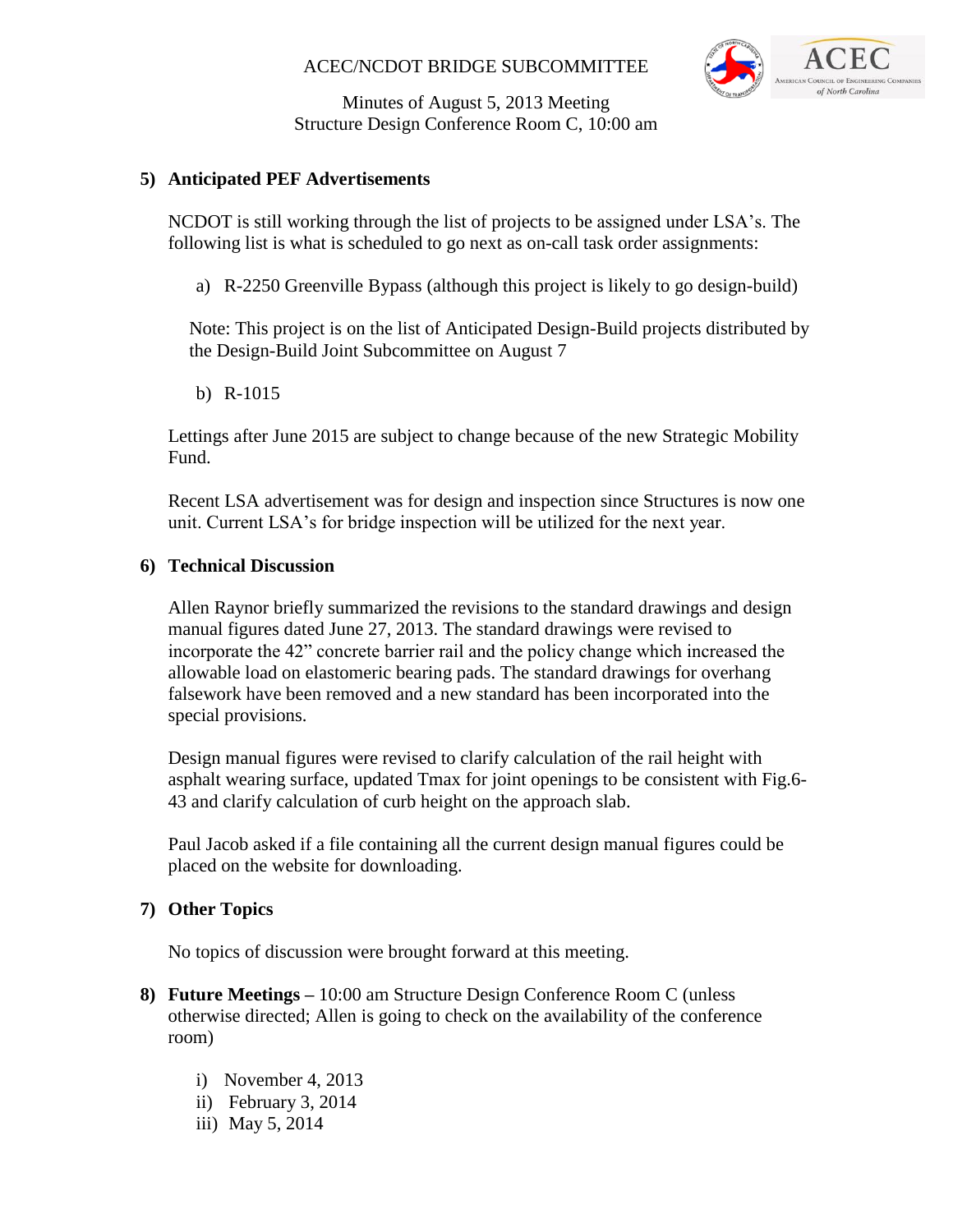## ACEC/NCDOT BRIDGE SUBCOMMITTEE



Minutes of August 5, 2013 Meeting Structure Design Conference Room C, 10:00 am

#### **5) Anticipated PEF Advertisements**

NCDOT is still working through the list of projects to be assigned under LSA's. The following list is what is scheduled to go next as on-call task order assignments:

a) R-2250 Greenville Bypass (although this project is likely to go design-build)

Note: This project is on the list of Anticipated Design-Build projects distributed by the Design-Build Joint Subcommittee on August 7

b) R-1015

Lettings after June 2015 are subject to change because of the new Strategic Mobility Fund.

Recent LSA advertisement was for design and inspection since Structures is now one unit. Current LSA's for bridge inspection will be utilized for the next year.

#### **6) Technical Discussion**

Allen Raynor briefly summarized the revisions to the standard drawings and design manual figures dated June 27, 2013. The standard drawings were revised to incorporate the 42" concrete barrier rail and the policy change which increased the allowable load on elastomeric bearing pads. The standard drawings for overhang falsework have been removed and a new standard has been incorporated into the special provisions.

Design manual figures were revised to clarify calculation of the rail height with asphalt wearing surface, updated Tmax for joint openings to be consistent with Fig.6- 43 and clarify calculation of curb height on the approach slab.

Paul Jacob asked if a file containing all the current design manual figures could be placed on the website for downloading.

#### **7) Other Topics**

No topics of discussion were brought forward at this meeting.

- **8) Future Meetings –** 10:00 am Structure Design Conference Room C (unless otherwise directed; Allen is going to check on the availability of the conference room)
	- i) November 4, 2013
	- ii) February 3, 2014
	- iii) May 5, 2014